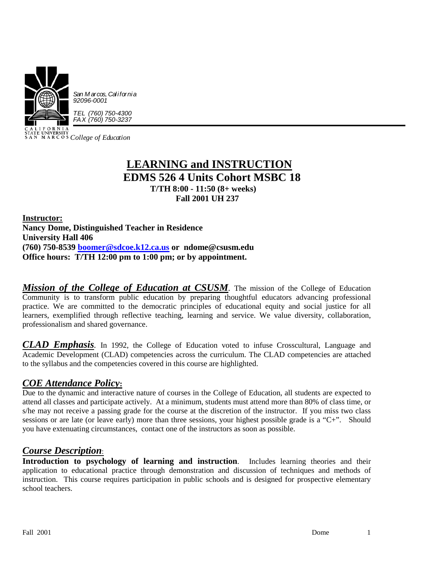

*College of Education*

# **LEARNING and INSTRUCTION EDMS 526 4 Units Cohort MSBC 18 T/TH 8:00 - 11:50 (8+ weeks) Fall 2001 UH 237**

**Instructor: Nancy Dome, Distinguished Teacher in Residence University Hall 406 (760) 750-8539 [boomer@sdcoe.k12.ca.us](mailto:boomer@sdcoe.k12.ca.us) or ndome@csusm.edu Office hours: T/TH 12:00 pm to 1:00 pm; or by appointment.** 

*Mission of the College of Education at CSUSM*. The mission of the College of Education Community is to transform public education by preparing thoughtful educators advancing professional practice. We are committed to the democratic principles of educational equity and social justice for all learners, exemplified through reflective teaching, learning and service. We value diversity, collaboration, professionalism and shared governance.

*CLAD Emphasis.* In 1992, the College of Education voted to infuse Crosscultural, Language and Academic Development (CLAD) competencies across the curriculum. The CLAD competencies are attached to the syllabus and the competencies covered in this course are highlighted.

## *COE Attendance Policy***:**

Due to the dynamic and interactive nature of courses in the College of Education, all students are expected to attend all classes and participate actively. At a minimum, students must attend more than 80% of class time, or s/he may not receive a passing grade for the course at the discretion of the instructor. If you miss two class sessions or are late (or leave early) more than three sessions, your highest possible grade is a "C+". Should you have extenuating circumstances, contact one of the instructors as soon as possible.

## *Course Description*:

**Introduction to psychology of learning and instruction**. Includes learning theories and their application to educational practice through demonstration and discussion of techniques and methods of instruction. This course requires participation in public schools and is designed for prospective elementary school teachers.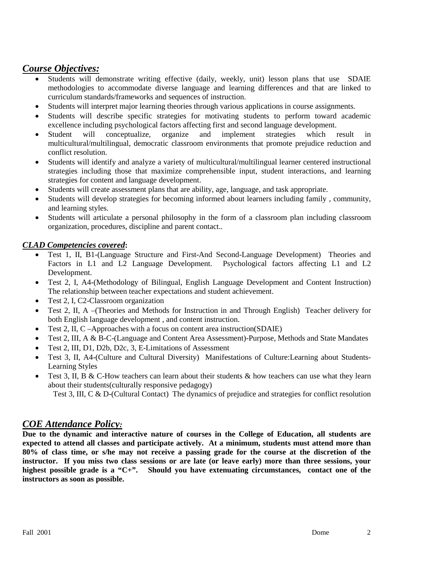## *Course Objectives:*

- Students will demonstrate writing effective (daily, weekly, unit) lesson plans that use SDAIE methodologies to accommodate diverse language and learning differences and that are linked to curriculum standards/frameworks and sequences of instruction.
- Students will interpret major learning theories through various applications in course assignments.
- Students will describe specific strategies for motivating students to perform toward academic excellence including psychological factors affecting first and second language development.<br>Student will conceptualize, organize and implement strategies which is
- Student will conceptualize, organize and implement strategies which result in multicultural/multilingual, democratic classroom environments that promote prejudice reduction and conflict resolution.
- Students will identify and analyze a variety of multicultural/multilingual learner centered instructional strategies including those that maximize comprehensible input, student interactions, and learning strategies for content and language development.
- Students will create assessment plans that are ability, age, language, and task appropriate.
- Students will develop strategies for becoming informed about learners including family , community, and learning styles.
- Students will articulate a personal philosophy in the form of a classroom plan including classroom organization, procedures, discipline and parent contact..

## *CLAD Competencies covered***:**

- Test 1, II, B1-(Language Structure and First-And Second-Language Development) Theories and Factors in L1 and L2 Language Development. Psychological factors affecting L1 and L2 Development.
- Test 2, I, A4-(Methodology of Bilingual, English Language Development and Content Instruction) The relationship between teacher expectations and student achievement.
- Test 2, I, C2-Classroom organization
- Test 2, II, A –(Theories and Methods for Instruction in and Through English) Teacher delivery for both English language development , and content instruction.
- Test 2, II, C –Approaches with a focus on content area instruction(SDAIE)
- Test 2, III, A & B-C-(Language and Content Area Assessment)-Purpose, Methods and State Mandates
- Test 2, III, D1, D2b, D2c, 3, E-Limitations of Assessment
- Test 3, II, A4-(Culture and Cultural Diversity) Manifestations of Culture:Learning about Students-Learning Styles
- Test 3, II, B & C-How teachers can learn about their students  $\&$  how teachers can use what they learn about their students(culturally responsive pedagogy)

Test 3, III, C & D-(Cultural Contact) The dynamics of prejudice and strategies for conflict resolution

## *COE Attendance Policy:*

**Due to the dynamic and interactive nature of courses in the College of Education, all students are expected to attend all classes and participate actively. At a minimum, students must attend more than 80% of class time, or s/he may not receive a passing grade for the course at the discretion of the instructor. If you miss two class sessions or are late (or leave early) more than three sessions, your highest possible grade is a "C+". Should you have extenuating circumstances, contact one of the instructors as soon as possible.**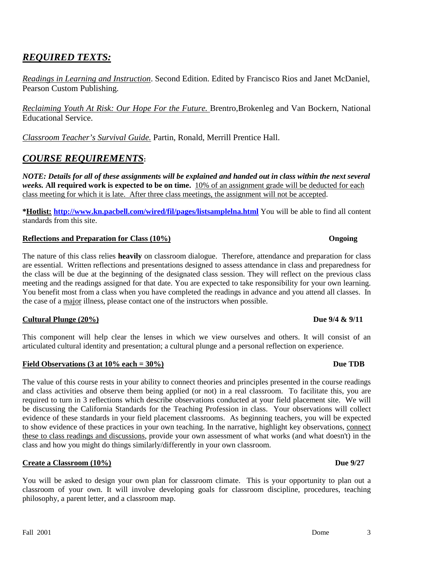# *REQUIRED TEXTS:*

*Readings in Learning and Instruction*. Second Edition. Edited by Francisco Rios and Janet McDaniel, Pearson Custom Publishing.

*Reclaiming Youth At Risk: Our Hope For the Future.* Brentro,Brokenleg and Van Bockern, National Educational Service.

*Classroom Teacher's Survival Guide.* Partin, Ronald, Merrill Prentice Hall.

## *COURSE REQUIREMENTS***:**

*NOTE: Details for all of these assignments will be explained and handed out in class within the next several weeks.* **All required work is expected to be on time.** 10% of an assignment grade will be deducted for each class meeting for which it is late. After three class meetings, the assignment will not be accepted.

**\*Hotlist: <http://www.kn.pacbell.com/wired/fil/pages/listsamplelna.html>** You will be able to find all content standards from this site.

### **Reflections and Preparation for Class (10%) Ongoing**

The nature of this class relies **heavily** on classroom dialogue. Therefore, attendance and preparation for class are essential. Written reflections and presentations designed to assess attendance in class and preparedness for the class will be due at the beginning of the designated class session. They will reflect on the previous class meeting and the readings assigned for that date. You are expected to take responsibility for your own learning. You benefit most from a class when you have completed the readings in advance and you attend all classes. In the case of a major illness, please contact one of the instructors when possible.

### **Cultural Plunge (20%) Due 9/4 & 9/11**

This component will help clear the lenses in which we view ourselves and others. It will consist of an articulated cultural identity and presentation; a cultural plunge and a personal reflection on experience.

### Field Observations (3 at 10% each = 30%) Due TDB

The value of this course rests in your ability to connect theories and principles presented in the course readings and class activities and observe them being applied (or not) in a real classroom. To facilitate this, you are required to turn in 3 reflections which describe observations conducted at your field placement site. We will be discussing the California Standards for the Teaching Profession in class. Your observations will collect evidence of these standards in your field placement classrooms. As beginning teachers, you will be expected to show evidence of these practices in your own teaching. In the narrative, highlight key observations, connect these to class readings and discussions, provide your own assessment of what works (and what doesn't) in the class and how you might do things similarly/differently in your own classroom.

### **Create a Classroom (10%) Due 9/27**

You will be asked to design your own plan for classroom climate. This is your opportunity to plan out a classroom of your own. It will involve developing goals for classroom discipline, procedures, teaching philosophy, a parent letter, and a classroom map.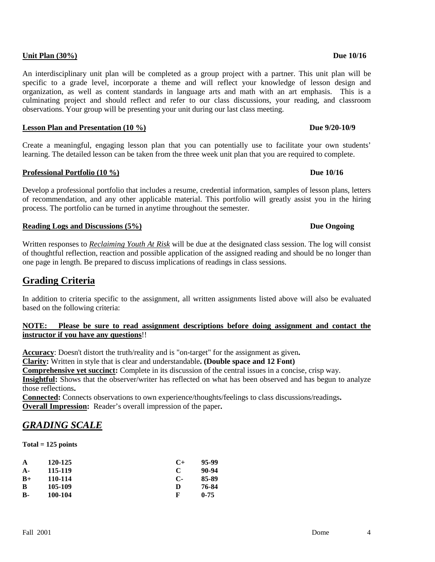### **Unit Plan (30%) Due 10/16**

An interdisciplinary unit plan will be completed as a group project with a partner. This unit plan will be specific to a grade level, incorporate a theme and will reflect your knowledge of lesson design and organization, as well as content standards in language arts and math with an art emphasis. This is a culminating project and should reflect and refer to our class discussions, your reading, and classroom observations. Your group will be presenting your unit during our last class meeting.

## **Lesson Plan and Presentation (10 %)** Due 9/20-10/9

Create a meaningful, engaging lesson plan that you can potentially use to facilitate your own students' learning. The detailed lesson can be taken from the three week unit plan that you are required to complete.

## **Professional Portfolio (10 %) Due 10/16**

Develop a professional portfolio that includes a resume, credential information, samples of lesson plans, letters of recommendation, and any other applicable material. This portfolio will greatly assist you in the hiring process. The portfolio can be turned in anytime throughout the semester.

## **Reading Logs and Discussions (5%) Due Ongoing**

Written responses to *Reclaiming Youth At Risk* will be due at the designated class session. The log will consist of thoughtful reflection, reaction and possible application of the assigned reading and should be no longer than one page in length. Be prepared to discuss implications of readings in class sessions.

# **Grading Criteria**

In addition to criteria specific to the assignment, all written assignments listed above will also be evaluated based on the following criteria:

### **NOTE: Please be sure to read assignment descriptions before doing assignment and contact the instructor if you have any questions**!!

**Accuracy**: Doesn't distort the truth/reality and is "on-target" for the assignment as given**.**

**Clarity:** Written in style that is clear and understandable**. (Double space and 12 Font)**

**Comprehensive yet succinct:** Complete in its discussion of the central issues in a concise, crisp way.

**Insightful:** Shows that the observer/writer has reflected on what has been observed and has begun to analyze those reflections**.**

**Overall Impression:** Reader's overall impression of the paper**. Connected:** Connects observations to own experience/thoughts/feelings to class discussions/readings**.**

# *GRADING SCALE*

**Total = 125 points**

| A     | 120-125 | $C+$         | 95-99    |
|-------|---------|--------------|----------|
| $A -$ | 115-119 | C            | 90-94    |
| $B+$  | 110-114 | $\mathbf{C}$ | 85-89    |
| B     | 105-109 | D            | 76-84    |
| в.    | 100-104 | F            | $0 - 75$ |
|       |         |              |          |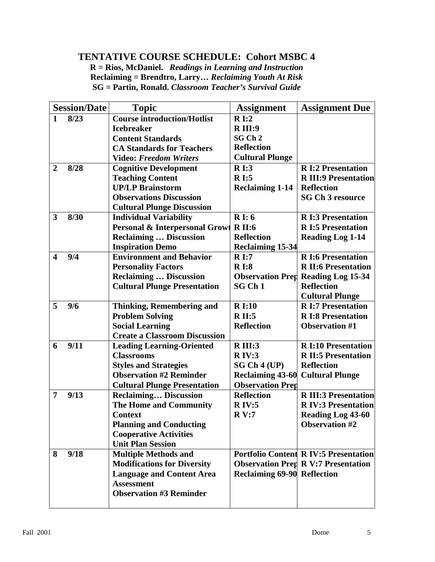# **TENTATIVE COURSE SCHEDULE: Cohort MSBC 4**

**R = Rios, McDaniel.** *Readings in Learning and Instruction* **Reclaiming = Brendtro, Larry…** *Reclaiming Youth At Risk* **SG = Partin, Ronald.** *Classroom Teacher's Survival Guide*

|                         | <b>Session/Date</b> | <b>Topic</b>                              | <b>Assignment</b>                  | <b>Assignment Due</b>                        |
|-------------------------|---------------------|-------------------------------------------|------------------------------------|----------------------------------------------|
| $\mathbf{1}$            | 8/23                | <b>Course introduction/Hotlist</b>        | R I:2                              |                                              |
|                         |                     | <b>Icebreaker</b>                         | <b>R</b> III:9                     |                                              |
|                         |                     | <b>Content Standards</b>                  | SG Ch 2                            |                                              |
|                         |                     | <b>CA Standards for Teachers</b>          | <b>Reflection</b>                  |                                              |
|                         |                     | <b>Video: Freedom Writers</b>             | <b>Cultural Plunge</b>             |                                              |
| $\boldsymbol{2}$        | 8/28                | <b>Cognitive Development</b>              | $R$ I:3                            | <b>RI:2 Presentation</b>                     |
|                         |                     | <b>Teaching Content</b>                   | $R$ I:5                            | <b>R III:9 Presentation</b>                  |
|                         |                     | <b>UP/LP Brainstorm</b>                   | <b>Reclaiming 1-14</b>             | <b>Reflection</b>                            |
|                         |                     | <b>Observations Discussion</b>            |                                    | <b>SG Ch 3 resource</b>                      |
|                         |                     | <b>Cultural Plunge Discussion</b>         |                                    |                                              |
| 3                       | 8/30                | <b>Individual Variability</b>             | $Ri$ : 6                           | <b>RI:3 Presentation</b>                     |
|                         |                     | <b>Personal &amp; Interpersonal Growt</b> | <b>R</b> II:6                      | <b>RI:5 Presentation</b>                     |
|                         |                     | <b>Reclaiming  Discussion</b>             | <b>Reflection</b>                  | <b>Reading Log 1-14</b>                      |
|                         |                     | <b>Inspiration Demo</b>                   | <b>Reclaiming 15-34</b>            |                                              |
| $\overline{\mathbf{4}}$ | 9/4                 | <b>Environment and Behavior</b>           | R I:7                              | <b>R</b> I:6 Presentation                    |
|                         |                     | <b>Personality Factors</b>                | R <sub>1:8</sub>                   | <b>R II:6 Presentation</b>                   |
|                         |                     | <b>Reclaiming  Discussion</b>             |                                    | <b>Observation Prep Reading Log 15-34</b>    |
|                         |                     | <b>Cultural Plunge Presentation</b>       | SG Ch <sub>1</sub>                 | <b>Reflection</b>                            |
|                         |                     |                                           |                                    | <b>Cultural Plunge</b>                       |
| 5                       | 9/6                 | <b>Thinking, Remembering and</b>          | <b>RI:10</b>                       | <b>RI:7 Presentation</b>                     |
|                         |                     | <b>Problem Solving</b>                    | <b>RII:5</b>                       | <b>R</b> I:8 Presentation                    |
|                         |                     | <b>Social Learning</b>                    | <b>Reflection</b>                  | <b>Observation #1</b>                        |
|                         |                     | <b>Create a Classroom Discussion</b>      |                                    |                                              |
| 6                       | 9/11                | <b>Leading Learning-Oriented</b>          | $R$ III:3                          | <b>R</b> I:10 Presentation                   |
|                         |                     | <b>Classrooms</b>                         | $R$ IV:3                           | <b>R II:5 Presentation</b>                   |
|                         |                     | <b>Styles and Strategies</b>              | SG Ch 4 (UP)                       | <b>Reflection</b>                            |
|                         |                     | <b>Observation #2 Reminder</b>            | <b>Reclaiming 43-60</b>            | <b>Cultural Plunge</b>                       |
|                         |                     | <b>Cultural Plunge Presentation</b>       | <b>Observation Prep</b>            |                                              |
| $\overline{7}$          | 9/13                | <b>Reclaiming Discussion</b>              | <b>Reflection</b>                  | <b>R III:3 Presentation</b>                  |
|                         |                     | <b>The Home and Community</b>             | $R$ IV:5                           | <b>RIV:3 Presentation</b>                    |
|                         |                     | <b>Context</b>                            | R V:7                              | <b>Reading Log 43-60</b>                     |
|                         |                     | <b>Planning and Conducting</b>            |                                    | <b>Observation #2</b>                        |
|                         |                     | <b>Cooperative Activities</b>             |                                    |                                              |
|                         |                     | <b>Unit Plan Session</b>                  |                                    |                                              |
| 8                       | 9/18                | <b>Multiple Methods and</b>               |                                    | <b>Portfolio Content R IV:5 Presentation</b> |
|                         |                     | <b>Modifications for Diversity</b>        |                                    | <b>Observation Prep R V:7 Presentation</b>   |
|                         |                     | <b>Language and Content Area</b>          | <b>Reclaiming 69-90 Reflection</b> |                                              |
|                         |                     | <b>Assessment</b>                         |                                    |                                              |
|                         |                     | <b>Observation #3 Reminder</b>            |                                    |                                              |
|                         |                     |                                           |                                    |                                              |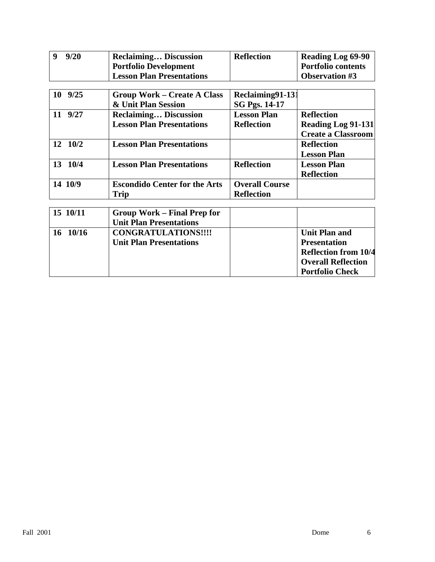| 9<br>9/20   | <b>Reclaiming Discussion</b>         | <b>Reflection</b>     | <b>Reading Log 69-90</b>                                    |
|-------------|--------------------------------------|-----------------------|-------------------------------------------------------------|
|             | <b>Portfolio Development</b>         |                       | <b>Portfolio contents</b>                                   |
|             | <b>Lesson Plan Presentations</b>     |                       | <b>Observation #3</b>                                       |
|             |                                      |                       |                                                             |
| $10 \t9/25$ | <b>Group Work – Create A Class</b>   | Reclaiming91-131      |                                                             |
|             | & Unit Plan Session                  | <b>SG Pgs. 14-17</b>  |                                                             |
| 9/27<br>11  | <b>Reclaiming Discussion</b>         | <b>Lesson Plan</b>    | <b>Reflection</b>                                           |
|             | <b>Lesson Plan Presentations</b>     | <b>Reflection</b>     | <b>Reading Log 91-131</b>                                   |
|             |                                      |                       | <b>Create a Classroom</b>                                   |
| 12 10/2     | <b>Lesson Plan Presentations</b>     |                       | <b>Reflection</b>                                           |
|             |                                      |                       | <b>Lesson Plan</b>                                          |
| 10/4<br>13  | <b>Lesson Plan Presentations</b>     | <b>Reflection</b>     | <b>Lesson Plan</b>                                          |
|             |                                      |                       | <b>Reflection</b>                                           |
| 14 10/9     | <b>Escondido Center for the Arts</b> | <b>Overall Course</b> |                                                             |
|             | Trip                                 | <b>Reflection</b>     |                                                             |
|             |                                      |                       |                                                             |
| 15 10/11    | <b>Group Work – Final Prep for</b>   |                       |                                                             |
|             | <b>Unit Plan Presentations</b>       |                       |                                                             |
| 16.1016     | $CONCD$ a till a tilangum            |                       | $\mathbf{H} \cdot \mathbf{H}$ $\mathbf{H} \cdot \mathbf{H}$ |

| 10/16<br>-16 | <b>CONGRATULATIONS!!!!</b>     | Unit Plan and               |
|--------------|--------------------------------|-----------------------------|
|              | <b>Unit Plan Presentations</b> | <b>Presentation</b>         |
|              |                                | <b>Reflection from 10/4</b> |
|              |                                | <b>Overall Reflection</b>   |
|              |                                | <b>Portfolio Check</b>      |